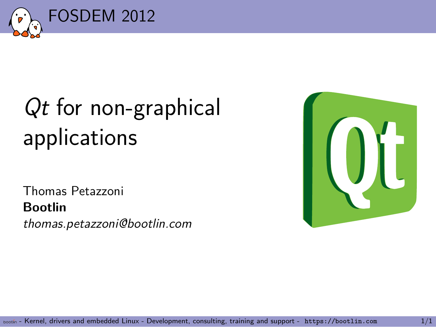

## *Qt* for non-graphical applications

Thomas Petazzoni **Bootlin** *thomas.petazzoni@bootlin.com*

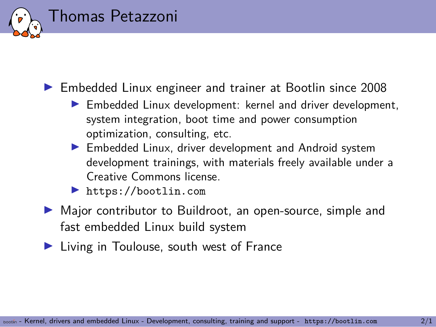### Thomas Petazzoni

- ▶ Embedded Linux engineer and trainer at Bootlin since 2008
	- ▶ Embedded Linux development: kernel and driver development, system integration, boot time and power consumption optimization, consulting, etc.
	- ▶ Embedded Linux, driver development and Android system development trainings, with materials freely available under a Creative Commons license.
	- ▶ https://bootlin.com
- ▶ Major contributor to Buildroot, an open-source, simple and fast embedded Linux build system
- ▶ Living in Toulouse, south west of France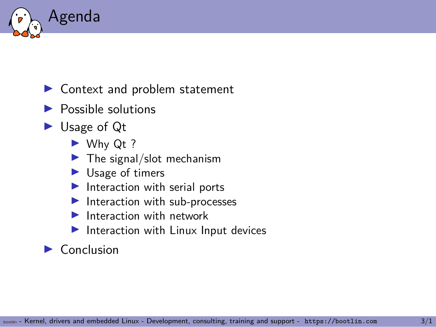

### ▶ Context and problem statement

- $\blacktriangleright$  Possible solutions
- ▶ Usage of Qt
	- ▶ Why Qt ?
	- $\blacktriangleright$  The signal/slot mechanism
	- $\blacktriangleright$  Usage of timers
	- ▶ Interaction with serial ports
	- ▶ Interaction with sub-processes
	- ▶ Interaction with network
	- ▶ Interaction with Linux Input devices

### $\blacktriangleright$  Conclusion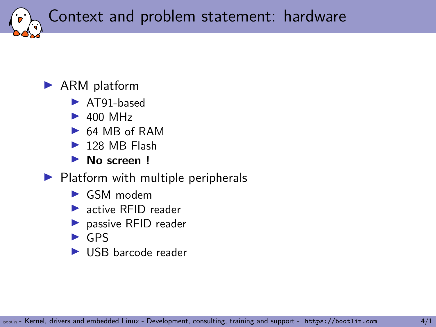Context and problem statement: hardware

#### ▶ ARM platform

- ▶ AT91-based
- $\blacktriangleright$  400 MHz
- ▶ 64 MB of RAM
- $\blacktriangleright$  128 MB Flash
- ▶ **No screen !**
- $\blacktriangleright$  Platform with multiple peripherals
	- ▶ GSM modem
	- ▶ active RFID reader
	- ▶ passive RFID reader
	- $\triangleright$  GPS
	- ▶ USB barcode reader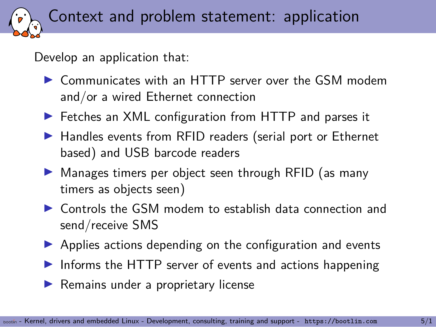Context and problem statement: application

Develop an application that:

- ▶ Communicates with an HTTP server over the GSM modem and/or a wired Ethernet connection
- ▶ Fetches an XML configuration from HTTP and parses it
- ▶ Handles events from RFID readers (serial port or Ethernet based) and USB barcode readers
- ▶ Manages timers per object seen through RFID (as many timers as objects seen)
- ▶ Controls the GSM modem to establish data connection and send/receive SMS
- ▶ Applies actions depending on the configuration and events
- ▶ Informs the HTTP server of events and actions happening
- ▶ Remains under a proprietary license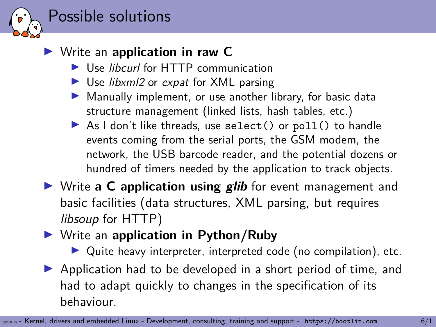### Possible solutions

### ▶ Write an **application in raw C**

- ▶ Use *libcurl* for HTTP communication
- ▶ Use *libxml2* or *expat* for XML parsing
- ▶ Manually implement, or use another library, for basic data structure management (linked lists, hash tables, etc.)
- ▶ As I don't like threads, use select () or poll() to handle events coming from the serial ports, the GSM modem, the network, the USB barcode reader, and the potential dozens or hundred of timers needed by the application to track objects.
- ▶ Write **a C application using** *glib* for event management and basic facilities (data structures, XML parsing, but requires *libsoup* for HTTP)
- ▶ Write an **application in Python/Ruby**

▶ Quite heavy interpreter, interpreted code (no compilation), etc. ▶ Application had to be developed in a short period of time, and had to adapt quickly to changes in the specification of its behaviour.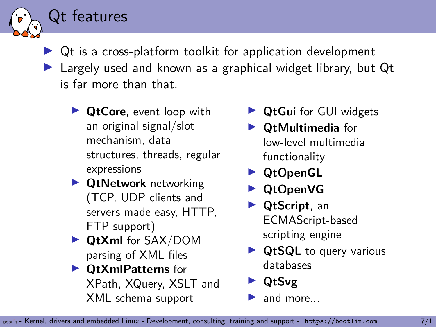▶ Qt is a cross-platform toolkit for application development ▶ Largely used and known as a graphical widget library, but Qt is far more than that.

▶ **QtCore**, event loop with an original signal/slot mechanism, data structures, threads, regular expressions

Qt features

- ▶ **QtNetwork** networking (TCP, UDP clients and servers made easy, HTTP, FTP support)
- ▶ **QtXml** for SAX/DOM parsing of XML files
- ▶ **QtXmlPatterns** for XPath, XQuery, XSLT and XML schema support
- ▶ **QtGui** for GUI widgets
- ▶ **QtMultimedia** for low-level multimedia functionality
- ▶ **QtOpenGL**
- ▶ **QtOpenVG**
- ▶ **QtScript**, an ECMAScript-based scripting engine
- ▶ **QtSQL** to query various databases
- ▶ **QtSvg**
- $\blacktriangleright$  and more.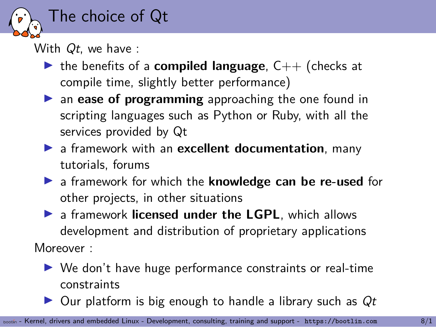

With *Qt*, we have :

- ▶ the benefits of a **compiled language**, C++ (checks at compile time, slightly better performance)
- ▶ an **ease of programming** approaching the one found in scripting languages such as Python or Ruby, with all the services provided by Qt
- ▶ a framework with an **excellent documentation**, many tutorials, forums
- ▶ a framework for which the **knowledge can be re-used** for other projects, in other situations
- ▶ a framework **licensed under the LGPL**, which allows development and distribution of proprietary applications Moreover :
	- ▶ We don't have huge performance constraints or real-time constraints
	- ▶ Our platform is big enough to handle a library such as *Qt*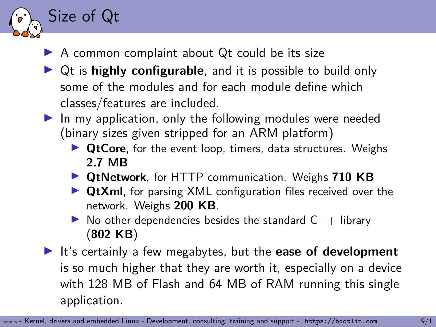### ▶ A common complaint about Qt could be its size

Size of Qt

- ▶ Qt is **highly configurable**, and it is possible to build only some of the modules and for each module define which classes/features are included.
- $\blacktriangleright$  In my application, only the following modules were needed (binary sizes given stripped for an ARM platform)
	- ▶ **QtCore**, for the event loop, timers, data structures. Weighs **2.7 MB**
	- ▶ **QtNetwork**, for HTTP communication. Weighs **710 KB**
	- ▶ **QtXml**, for parsing XML configuration files received over the network. Weighs **200 KB**.
	- $\triangleright$  No other dependencies besides the standard  $C_{++}$  library (**802 KB**)
- ▶ It's certainly a few megabytes, but the **ease of development** is so much higher that they are worth it, especially on a device with 128 MB of Flash and 64 MB of RAM running this single application.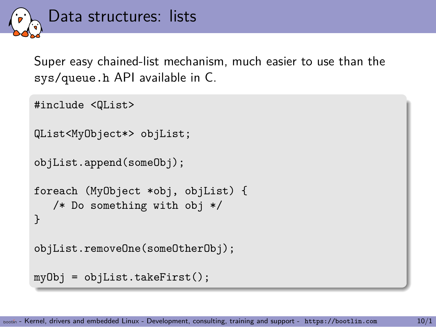

Super easy chained-list mechanism, much easier to use than the sys/queue.h API available in C.

#include <QList>

```
QList<MyObject*> objList;
```

```
objList.append(someObj);
```

```
foreach (MyObject *obj, objList) {
   /* Do something with obj */
}
```

```
objList.removeOne(someOtherObj);
```

```
myObj = objList.takeFirst();
```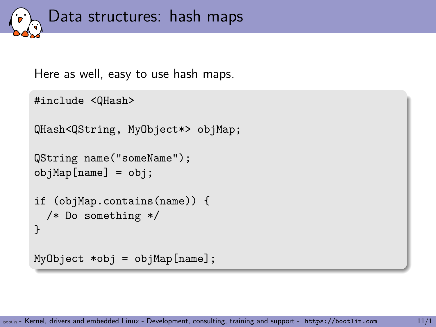

Here as well, easy to use hash maps.

```
#include <QHash>
QHash<QString, MyObject*> objMap;
QString name("someName");
objMap[name] = obj;
if (objMap.contains(name)) {
  /* Do something */
}
MyObject * obj = objMap[name];
```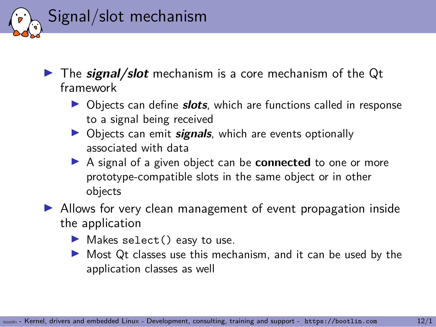

- ▶ The *signal/slot* mechanism is a core mechanism of the Qt framework
	- ▶ Objects can define *slots*, which are functions called in response to a signal being received
	- ▶ Objects can emit *signals*, which are events optionally associated with data
	- ▶ A signal of a given object can be **connected** to one or more prototype-compatible slots in the same object or in other objects
- ▶ Allows for very clean management of event propagation inside the application
	- ▶ Makes select() easy to use.
	- ▶ Most Qt classes use this mechanism, and it can be used by the application classes as well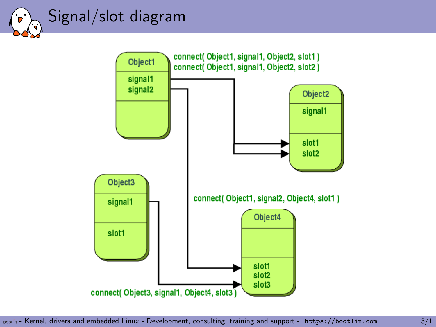### Signal/slot diagram

٠D  $\bigodot$ 

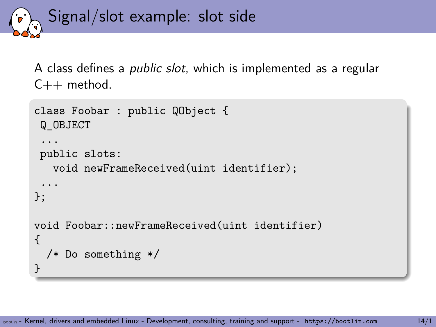Signal/slot example: slot side

A class defines a *public slot*, which is implemented as a regular  $C++$  method.

```
class Foobar : public QObject {
 Q_OBJECT
 ...
 public slots:
   void newFrameReceived(uint identifier);
 ...
};
void Foobar::newFrameReceived(uint identifier)
{
  /* Do something */
}
```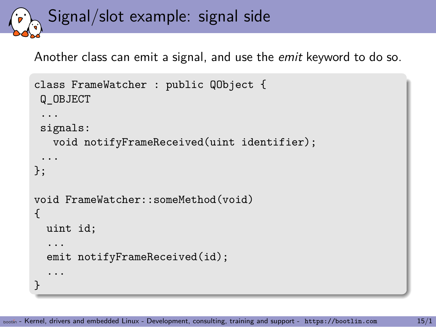Signal/slot example: signal side

Another class can emit a signal, and use the *emit* keyword to do so.

```
class FrameWatcher : public QObject {
 Q_OBJECT
 ...
 signals:
   void notifyFrameReceived(uint identifier);
 ...
};
void FrameWatcher::someMethod(void)
{
  uint id;
  ...
  emit notifyFrameReceived(id);
  ...
}
```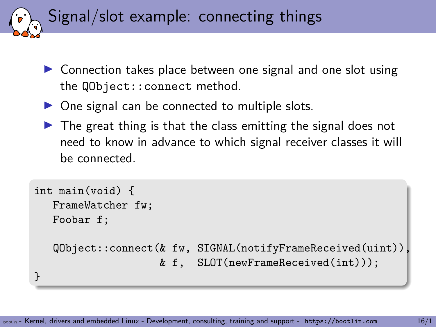Signal/slot example: connecting things

- ▶ Connection takes place between one signal and one slot using the QObject::connect method.
- ▶ One signal can be connected to multiple slots.
- $\triangleright$  The great thing is that the class emitting the signal does not need to know in advance to which signal receiver classes it will be connected.

```
int main(void) {
   FrameWatcher fw;
   Foobar f;
   QObject::connect(& fw, SIGNAL(notifyFrameReceived(uint)),
                    & f, SLOT(newFrameReceived(int)));
}
```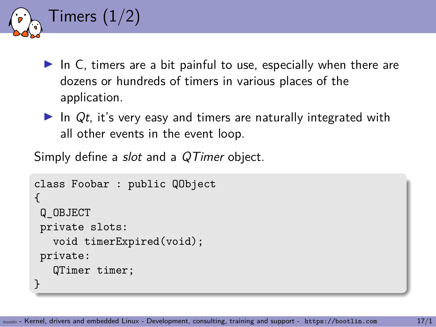```
Timers (1/2)
```
- $\blacktriangleright$  In C, timers are a bit painful to use, especially when there are dozens or hundreds of timers in various places of the application.
- ▶ In Qt, it's very easy and timers are naturally integrated with all other events in the event loop.

Simply define a *slot* and a *QTimer* object.

```
class Foobar : public QObject
{
 Q_OBJECT
private slots:
   void timerExpired(void);
 private:
   QTimer timer;
}
```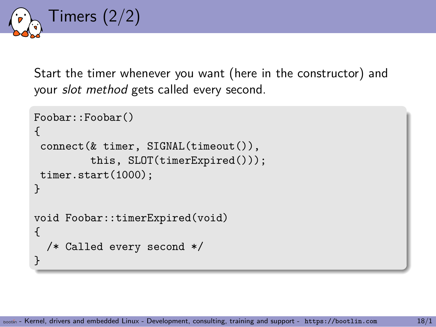

Start the timer whenever you want (here in the constructor) and your *slot method* gets called every second.

```
Foobar::Foobar()
{
 connect(& timer, SIGNAL(timeout()),
         this, SLOT(timerExpired()));
 timer.start(1000);
}
void Foobar::timerExpired(void)
{
  /* Called every second */
}
```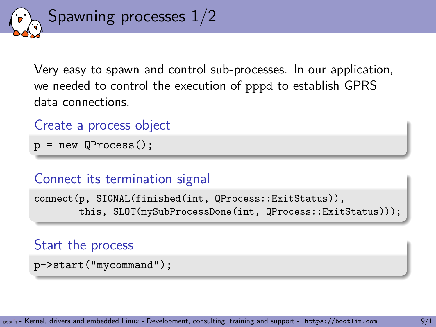

Very easy to spawn and control sub-processes. In our application, we needed to control the execution of pppd to establish GPRS data connections.

```
Create a process object
```
 $p = new QProcess()$ ;

### Connect its termination signal

connect(p, SIGNAL(finished(int, QProcess::ExitStatus)), this, SLOT(mySubProcessDone(int, QProcess::ExitStatus)));

#### Start the process

```
p->start("mycommand");
```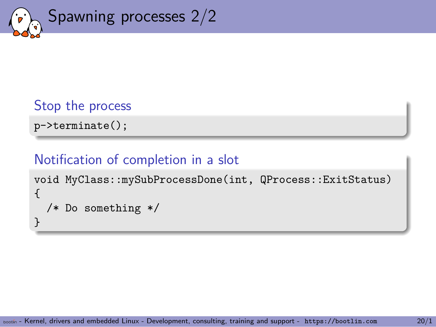

### Stop the process p->terminate();

### Notification of completion in a slot

```
void MyClass::mySubProcessDone(int, QProcess::ExitStatus)
{
  /* Do something */
}
```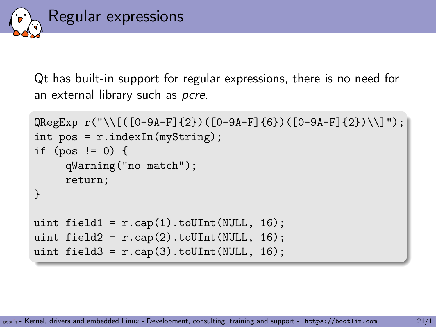

Qt has built-in support for regular expressions, there is no need for an external library such as *pcre*.

```
QRegExp r("\\[(0-9A-F]{2})([0-9A-F]{6})([0-9A-F]{2})\int pos = r.indexIn(myString);
if (pos != 0) {
      qWarning("no match");
      return;
}
uint field1 = r \cdot cap(1) \cdot to \text{UInt}(\text{NULL}, 16);uint field2 = r \cdot cap(2) \cdot \text{toUInt}(\text{NULL}, 16);uint field3 = r \cdot cap(3) \cdot \text{toUInt(NULL, 16)};
```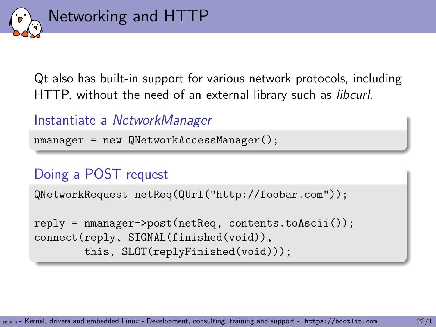

Qt also has built-in support for various network protocols, including HTTP, without the need of an external library such as *libcurl*.

Instantiate a *NetworkManager*

nmanager = new QNetworkAccessManager();

### Doing a POST request

QNetworkRequest netReq(QUrl("http://foobar.com"));

```
reply = nmanager->post(netReq, contents.toAscii());
connect(reply, SIGNAL(finished(void)),
        this, SLOT(replyFinished(void)));
```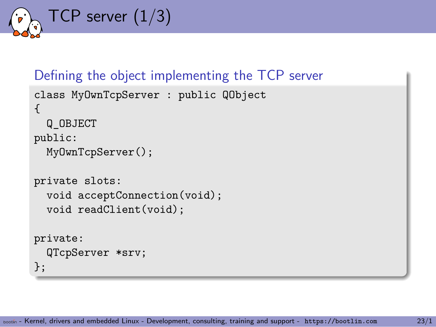TCP server (1/3)

```
Defining the object implementing the TCP server
class MyOwnTcpServer : public QObject
{
  Q_OBJECT
public:
  MyOwnTcpServer();
private slots:
  void acceptConnection(void);
  void readClient(void);
private:
  QTcpServer *srv;
};
```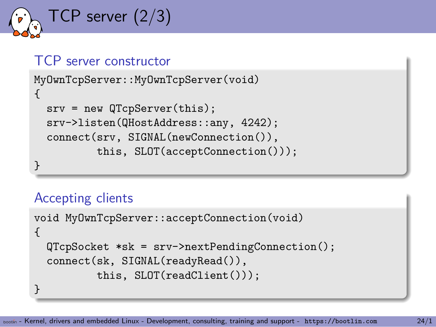TCP server (2/3)

#### TCP server constructor MyOwnTcpServer::MyOwnTcpServer(void) {

```
srv = new QTcpServer(this);
 srv->listen(QHostAddress::any, 4242);
 connect(srv, SIGNAL(newConnection()),
         this, SLOT(acceptConnection()));
}
```
### Accepting clients

```
void MyOwnTcpServer::acceptConnection(void)
{
  QTcpSocket *sk = srv->nextPendingConnection();
  connect(sk, SIGNAL(readyRead()),
          this, SLOT(readClient()));
}
```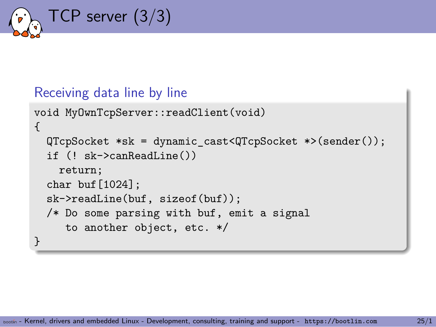

#### Receiving data line by line

```
void MyOwnTcpServer::readClient(void)
{
  QTcpSocket *sk = dynamic cast<QTcpSocket *>(sender());
  if (! sk->canReadLine())
    return;
  char buf[1024]:
  sk->readLine(buf, sizeof(buf));
  /* Do some parsing with buf, emit a signal
     to another object, etc. */
}
```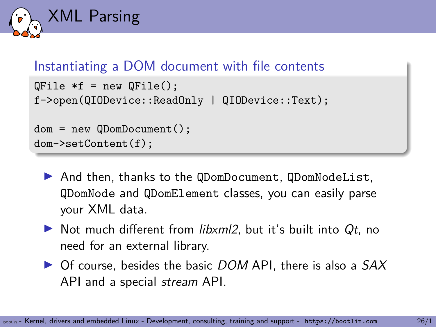

### Instantiating a DOM document with file contents

```
QFile *f = new QFile();
f->open(QIODevice::ReadOnly | QIODevice::Text);
dom = new QDomDocument();
```

```
dom->setContent(f);
```
- ▶ And then, thanks to the QDomDocument, QDomNodeList, QDomNode and QDomElement classes, you can easily parse your XML data.
- ▶ Not much different from *libxml2*, but it's built into *Qt*, no need for an external library.
- ▶ Of course, besides the basic *DOM* API, there is also a *SAX* API and a special *stream* API.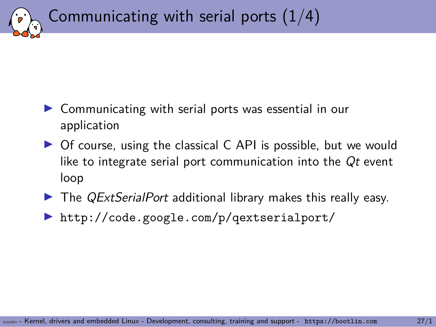

## Communicating with serial ports  $(1/4)$

- ▶ Communicating with serial ports was essential in our application
- ▶ Of course, using the classical C API is possible, but we would like to integrate serial port communication into the *Qt* event loop
- ▶ The *QExtSerialPort* additional library makes this really easy.
- ▶ http://code.google.com/p/qextserialport/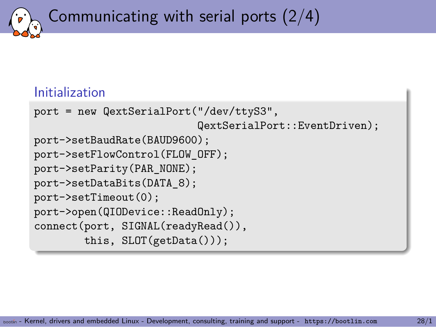Communicating with serial ports (2/4)

### Initialization

```
port = new QextSerialPort("/dev/ttyS3",
                          QextSerialPort::EventDriven);
port->setBaudRate(BAUD9600);
port->setFlowControl(FLOW_OFF);
port->setParity(PAR_NONE);
port->setDataBits(DATA_8);
port->setTimeout(0);
port->open(QIODevice::ReadOnly);
connect(port, SIGNAL(readyRead()),
        this, SLOT(getData()));
```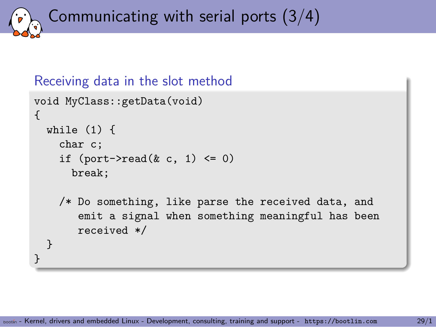Communicating with serial ports (3/4)

```
Receiving data in the slot method
```

```
void MyClass::getData(void)
{
  while (1) {
    char c;
    if (port-\text{read}(k \ c, 1) \leq 0)break;
    /* Do something, like parse the received data, and
       emit a signal when something meaningful has been
       received */
  }
}
```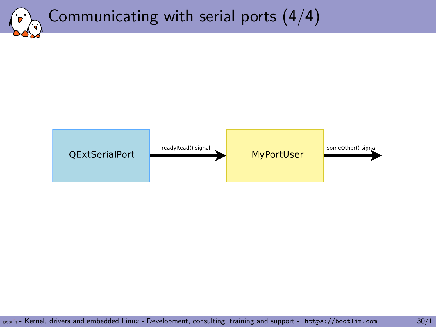## Communicating with serial ports (4/4)

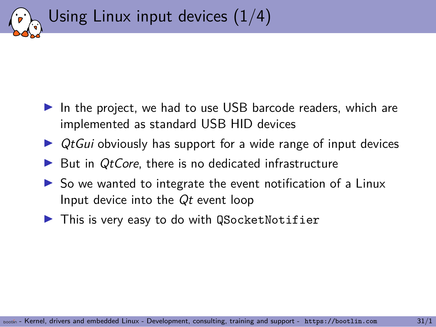

- ▶ In the project, we had to use USB barcode readers, which are implemented as standard USB HID devices
- ▶ *QtGui* obviously has support for a wide range of input devices
- ▶ But in *QtCore*, there is no dedicated infrastructure
- $\triangleright$  So we wanted to integrate the event notification of a Linux Input device into the *Qt* event loop
- ▶ This is very easy to do with QSocketNotifier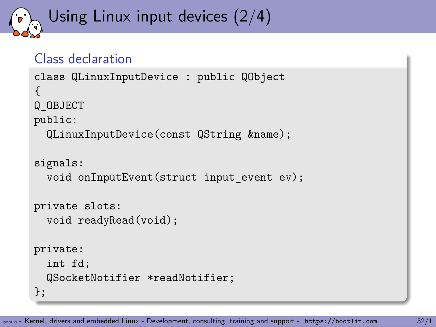## Using Linux input devices (2/4)

### Class declaration

```
class QLinuxInputDevice : public QObject
{
Q_OBJECT
public:
  QLinuxInputDevice(const QString &name);
signals:
  void onInputEvent(struct input event ev);
private slots:
  void readyRead(void);
private:
  int fd;
  QSocketNotifier *readNotifier;
};
```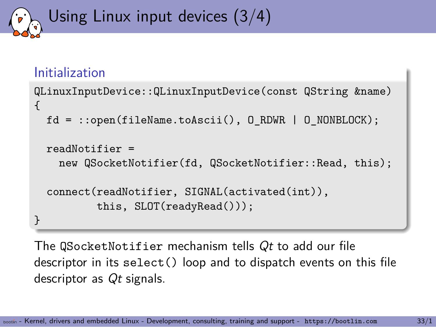## Using Linux input devices (3/4)

### Initialization

```
QLinuxInputDevice::QLinuxInputDevice(const QString &name)
{
  fd = ::open(fileName.toAscii(), O_RDWR | O_NONBLOCK);
  readNotifier =
   new QSocketNotifier(fd, QSocketNotifier::Read, this);
  connect(readNotifier, SIGNAL(activated(int)),
          this, SLOT(readyRead()));
}
```
The QSocketNotifier mechanism tells *Qt* to add our file descriptor in its select() loop and to dispatch events on this file descriptor as *Qt* signals.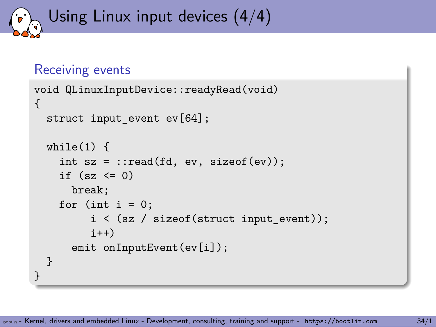## Using Linux input devices (4/4)

### Receiving events

```
void QLinuxInputDevice::readyRead(void)
{
  struct input_event ev[64];
  while(1) {
    int sz = :read(fd, ev, sizeof(ev));if (sz \leq 0)break;
    for (int i = 0;
         i \leq (sz / sizeof(struct input event));i^{++}emit onInputEvent(ev[i]);
  }
}
```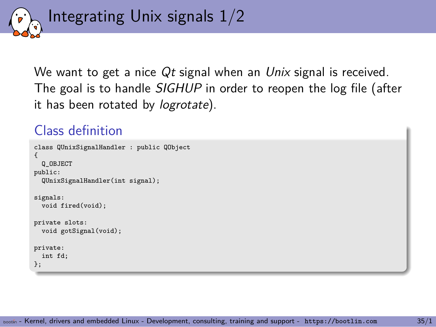

We want to get a nice *Qt* signal when an *Unix* signal is received. The goal is to handle *SIGHUP* in order to reopen the log file (after it has been rotated by *logrotate*).

### Class definition

```
class QUnixSignalHandler : public QObject
{
 Q_OBJECT
public:
 QUnixSignalHandler(int signal);
signals:
  void fired(void);
private slots:
  void gotSignal(void);
private:
 int fd;
};
```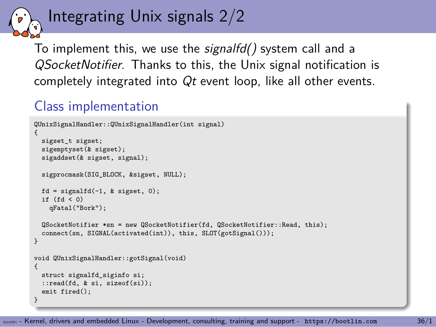## Integrating Unix signals 2/2

To implement this, we use the *signalfd()* system call and a *QSocketNotifier*. Thanks to this, the Unix signal notification is completely integrated into *Qt* event loop, like all other events.

### Class implementation

```
QUnixSignalHandler::QUnixSignalHandler(int signal)
{
 sigset_t sigset;
 sigemptyset(& sigset);
 sigaddset(& sigset, signal);
 sigprocmask(SIG_BLOCK, &sigset, NULL);
 fd = signalfd(-1, k \text{ si}gest, 0);if (fd < 0)qFatal("Bork");
 QSocketNotifier *sn = new QSocketNotifier(fd, QSocketNotifier::Read, this);
 connect(sn, SIGNAL(activated(int)), this, SLOT(gotSignal()));
}
void QUnixSignalHandler::gotSignal(void)
{
 struct signalfd siginfo si;
  ::read(fd, & si, sizeof(si));
 emit fired();
}
```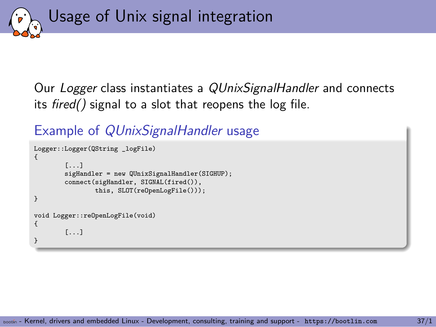Usage of Unix signal integration

Our *Logger* class instantiates a *QUnixSignalHandler* and connects its *fired()* signal to a slot that reopens the log file.

Example of *QUnixSignalHandler* usage

```
Logger::Logger(QString _logFile)
{
        [...]
        sigHandler = new QUnixSignalHandler(SIGHUP);
        connect(sigHandler, SIGNAL(fired()),
                this, SLOT(reOpenLogFile()));
}
void Logger::reOpenLogFile(void)
{
        [...]
}
```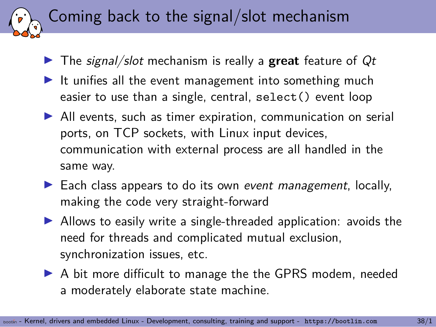### Coming back to the signal/slot mechanism

- ▶ The *signal/slot* mechanism is really a **great** feature of *Qt*
- $\blacktriangleright$  It unifies all the event management into something much easier to use than a single, central, select() event loop
- ▶ All events, such as timer expiration, communication on serial ports, on TCP sockets, with Linux input devices, communication with external process are all handled in the same way.
- ▶ Each class appears to do its own *event management*, locally, making the code very straight-forward
- ▶ Allows to easily write a single-threaded application: avoids the need for threads and complicated mutual exclusion, synchronization issues, etc.
- ▶ A bit more difficult to manage the the GPRS modem, needed a moderately elaborate state machine.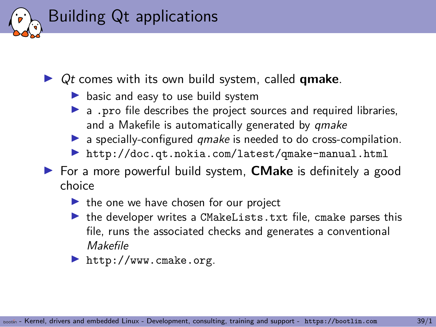### Building Qt applications

- ▶ *Qt* comes with its own build system, called **qmake**.
	- ▶ basic and easy to use build system
	- ▶ a .pro file describes the project sources and required libraries, and a Makefile is automatically generated by *qmake*
	- ▶ a specially-configured *qmake* is needed to do cross-compilation.
	- ▶ http://doc.qt.nokia.com/latest/qmake-manual.html
- ▶ For a more powerful build system, **CMake** is definitely a good choice
	- $\blacktriangleright$  the one we have chosen for our project
	- ▶ the developer writes a CMakeLists.txt file, cmake parses this file, runs the associated checks and generates a conventional *Makefile*
	- ▶ http://www.cmake.org.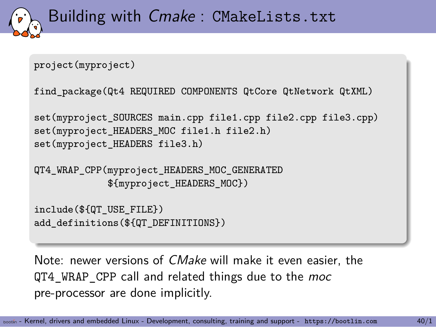```
Building with Cmake : CMakeLists.txt
project(myproject)
find_package(Qt4 REQUIRED COMPONENTS QtCore QtNetwork QtXML)
set(myproject_SOURCES main.cpp file1.cpp file2.cpp file3.cpp)
set(myproject_HEADERS_MOC file1.h file2.h)
set(myproject HEADERS file3.h)
```
QT4\_WRAP\_CPP(myproject\_HEADERS\_MOC\_GENERATED \${myproject\_HEADERS\_MOC})

```
include(${QT_USE_FILE})
add_definitions(${QT_DEFINITIONS})
```
Note: newer versions of *CMake* will make it even easier, the QT4\_WRAP\_CPP call and related things due to the *moc* pre-processor are done implicitly.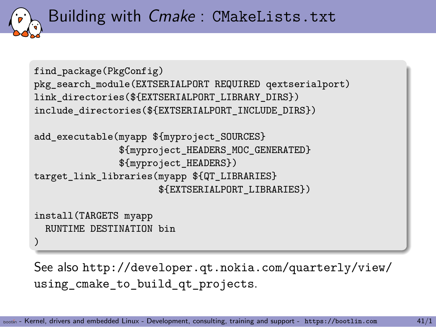

### Building with *Cmake* : CMakeLists.txt

```
find_package(PkgConfig)
pkg_search_module(EXTSERIALPORT REQUIRED qextserialport)
link_directories(${EXTSERIALPORT_LIBRARY_DIRS})
include_directories(${EXTSERIALPORT_INCLUDE_DIRS})
add_executable(myapp ${myproject_SOURCES}
               ${myproject_HEADERS_MOC_GENERATED}
               ${myproject_HEADERS})
target_link_libraries(myapp ${QT_LIBRARIES}
                      ${EXTSERIALPORT_LIBRARIES})
install(TARGETS myapp
  RUNTIME DESTINATION bin
)
```
See also http://developer.qt.nokia.com/quarterly/view/ using\_cmake\_to\_build\_qt\_projects.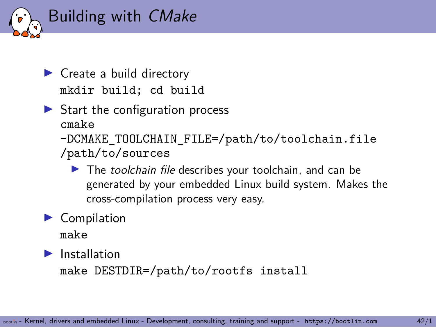

- ▶ Create a build directory mkdir build; cd build
- $\triangleright$  Start the configuration process cmake -DCMAKE TOOLCHAIN FILE=/path/to/toolchain.file /path/to/sources
	- ▶ The *toolchain file* describes your toolchain, and can be generated by your embedded Linux build system. Makes the cross-compilation process very easy.
- ▶ Compilation

make

 $\blacktriangleright$  Installation

make DESTDIR=/path/to/rootfs install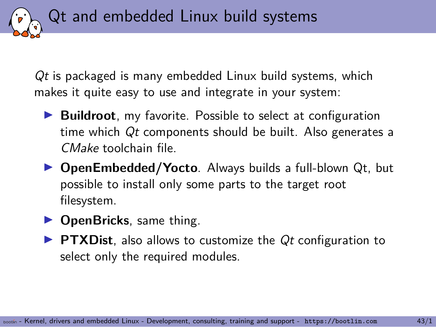*Qt* is packaged is many embedded Linux build systems, which makes it quite easy to use and integrate in your system:

Qt and embedded Linux build systems

- ▶ **Buildroot**, my favorite. Possible to select at configuration time which *Qt* components should be built. Also generates a *CMake* toolchain file.
- ▶ **OpenEmbedded/Yocto**. Always builds a full-blown Qt, but possible to install only some parts to the target root filesystem.
- ▶ **OpenBricks**, same thing.
- ▶ **PTXDist**, also allows to customize the *Qt* configuration to select only the required modules.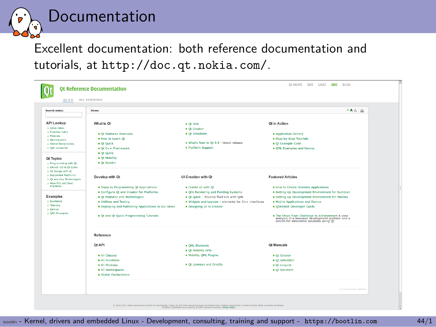

## Documentation

Excellent documentation: both reference documentation and tutorials, at http://doc.qt.nokia.com/.

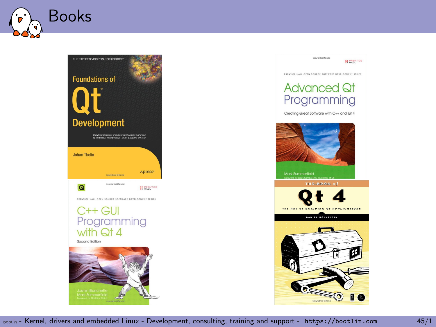



#### **H** PRENTICE

Constituted Material PRENTICE HALL OPEN SOURCE SOFTWARE DEVELOPMENT SERIES

#### Advanced Qt Programming

Creating Great Software with C++ and Qt 4



Mark Summerfield



**DANIEL MOLKENTIN** 

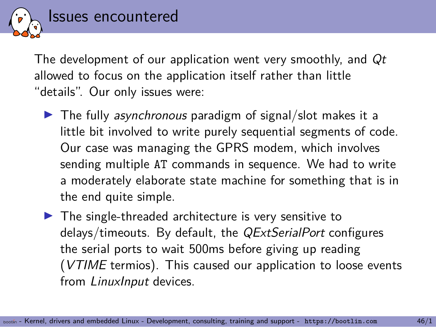Issues encountered

The development of our application went very smoothly, and *Qt* allowed to focus on the application itself rather than little "details". Our only issues were:

- ▶ The fully *asynchronous* paradigm of signal/slot makes it a little bit involved to write purely sequential segments of code. Our case was managing the GPRS modem, which involves sending multiple AT commands in sequence. We had to write a moderately elaborate state machine for something that is in the end quite simple.
- $\blacktriangleright$  The single-threaded architecture is very sensitive to delays/timeouts. By default, the *QExtSerialPort* configures the serial ports to wait 500ms before giving up reading (*VTIME* termios). This caused our application to loose events from *LinuxInput* devices.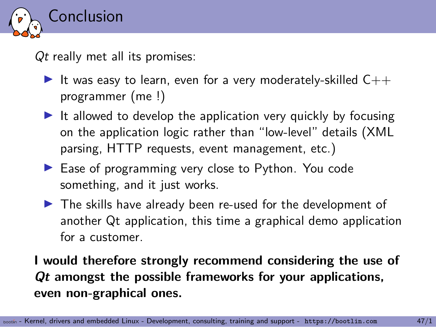

*Qt* really met all its promises:

- It was easy to learn, even for a very moderately-skilled  $C++$ programmer (me !)
- $\blacktriangleright$  It allowed to develop the application very quickly by focusing on the application logic rather than "low-level" details (XML parsing, HTTP requests, event management, etc.)
- ▶ Ease of programming very close to Python. You code something, and it just works.
- ▶ The skills have already been re-used for the development of another Qt application, this time a graphical demo application for a customer.

### **I would therefore strongly recommend considering the use of** *Qt* **amongst the possible frameworks for your applications, even non-graphical ones.**